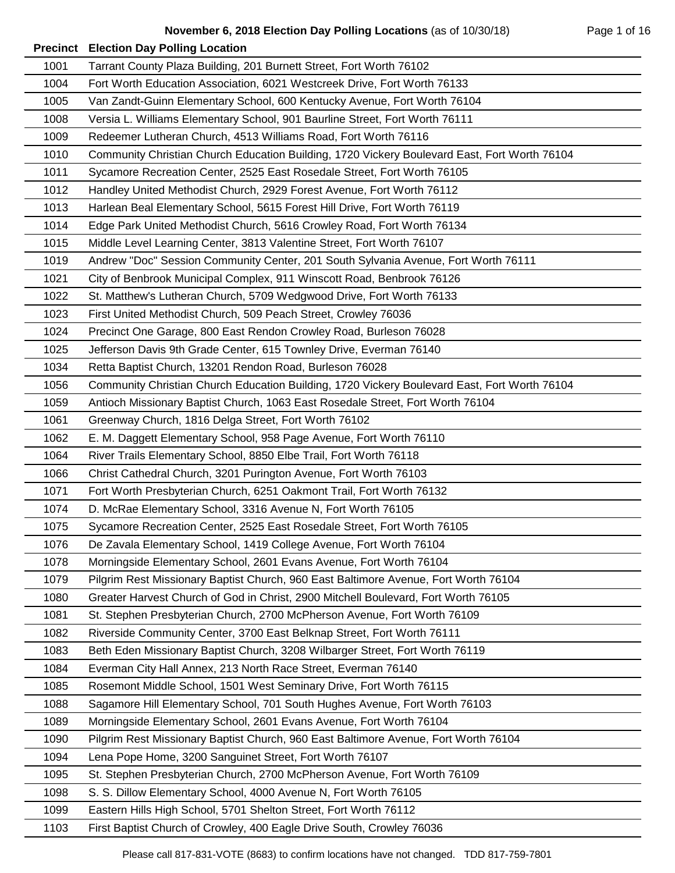|      | <b>Precinct Election Day Polling Location</b>                                                |
|------|----------------------------------------------------------------------------------------------|
| 1001 | Tarrant County Plaza Building, 201 Burnett Street, Fort Worth 76102                          |
| 1004 | Fort Worth Education Association, 6021 Westcreek Drive, Fort Worth 76133                     |
| 1005 | Van Zandt-Guinn Elementary School, 600 Kentucky Avenue, Fort Worth 76104                     |
| 1008 | Versia L. Williams Elementary School, 901 Baurline Street, Fort Worth 76111                  |
| 1009 | Redeemer Lutheran Church, 4513 Williams Road, Fort Worth 76116                               |
| 1010 | Community Christian Church Education Building, 1720 Vickery Boulevard East, Fort Worth 76104 |
| 1011 | Sycamore Recreation Center, 2525 East Rosedale Street, Fort Worth 76105                      |
| 1012 | Handley United Methodist Church, 2929 Forest Avenue, Fort Worth 76112                        |
| 1013 | Harlean Beal Elementary School, 5615 Forest Hill Drive, Fort Worth 76119                     |
| 1014 | Edge Park United Methodist Church, 5616 Crowley Road, Fort Worth 76134                       |
| 1015 | Middle Level Learning Center, 3813 Valentine Street, Fort Worth 76107                        |
| 1019 | Andrew "Doc" Session Community Center, 201 South Sylvania Avenue, Fort Worth 76111           |
| 1021 | City of Benbrook Municipal Complex, 911 Winscott Road, Benbrook 76126                        |
| 1022 | St. Matthew's Lutheran Church, 5709 Wedgwood Drive, Fort Worth 76133                         |
| 1023 | First United Methodist Church, 509 Peach Street, Crowley 76036                               |
| 1024 | Precinct One Garage, 800 East Rendon Crowley Road, Burleson 76028                            |
| 1025 | Jefferson Davis 9th Grade Center, 615 Townley Drive, Everman 76140                           |
| 1034 | Retta Baptist Church, 13201 Rendon Road, Burleson 76028                                      |
| 1056 | Community Christian Church Education Building, 1720 Vickery Boulevard East, Fort Worth 76104 |
| 1059 | Antioch Missionary Baptist Church, 1063 East Rosedale Street, Fort Worth 76104               |
| 1061 | Greenway Church, 1816 Delga Street, Fort Worth 76102                                         |
| 1062 | E. M. Daggett Elementary School, 958 Page Avenue, Fort Worth 76110                           |
| 1064 | River Trails Elementary School, 8850 Elbe Trail, Fort Worth 76118                            |
| 1066 | Christ Cathedral Church, 3201 Purington Avenue, Fort Worth 76103                             |
| 1071 | Fort Worth Presbyterian Church, 6251 Oakmont Trail, Fort Worth 76132                         |
| 1074 | D. McRae Elementary School, 3316 Avenue N, Fort Worth 76105                                  |
| 1075 | Sycamore Recreation Center, 2525 East Rosedale Street, Fort Worth 76105                      |
| 1076 | De Zavala Elementary School, 1419 College Avenue, Fort Worth 76104                           |
| 1078 | Morningside Elementary School, 2601 Evans Avenue, Fort Worth 76104                           |
| 1079 | Pilgrim Rest Missionary Baptist Church, 960 East Baltimore Avenue, Fort Worth 76104          |
| 1080 | Greater Harvest Church of God in Christ, 2900 Mitchell Boulevard, Fort Worth 76105           |
| 1081 | St. Stephen Presbyterian Church, 2700 McPherson Avenue, Fort Worth 76109                     |
| 1082 | Riverside Community Center, 3700 East Belknap Street, Fort Worth 76111                       |
| 1083 | Beth Eden Missionary Baptist Church, 3208 Wilbarger Street, Fort Worth 76119                 |
| 1084 | Everman City Hall Annex, 213 North Race Street, Everman 76140                                |
| 1085 | Rosemont Middle School, 1501 West Seminary Drive, Fort Worth 76115                           |
| 1088 | Sagamore Hill Elementary School, 701 South Hughes Avenue, Fort Worth 76103                   |
| 1089 | Morningside Elementary School, 2601 Evans Avenue, Fort Worth 76104                           |
| 1090 | Pilgrim Rest Missionary Baptist Church, 960 East Baltimore Avenue, Fort Worth 76104          |
| 1094 | Lena Pope Home, 3200 Sanguinet Street, Fort Worth 76107                                      |
| 1095 | St. Stephen Presbyterian Church, 2700 McPherson Avenue, Fort Worth 76109                     |
| 1098 | S. S. Dillow Elementary School, 4000 Avenue N, Fort Worth 76105                              |
| 1099 | Eastern Hills High School, 5701 Shelton Street, Fort Worth 76112                             |
| 1103 | First Baptist Church of Crowley, 400 Eagle Drive South, Crowley 76036                        |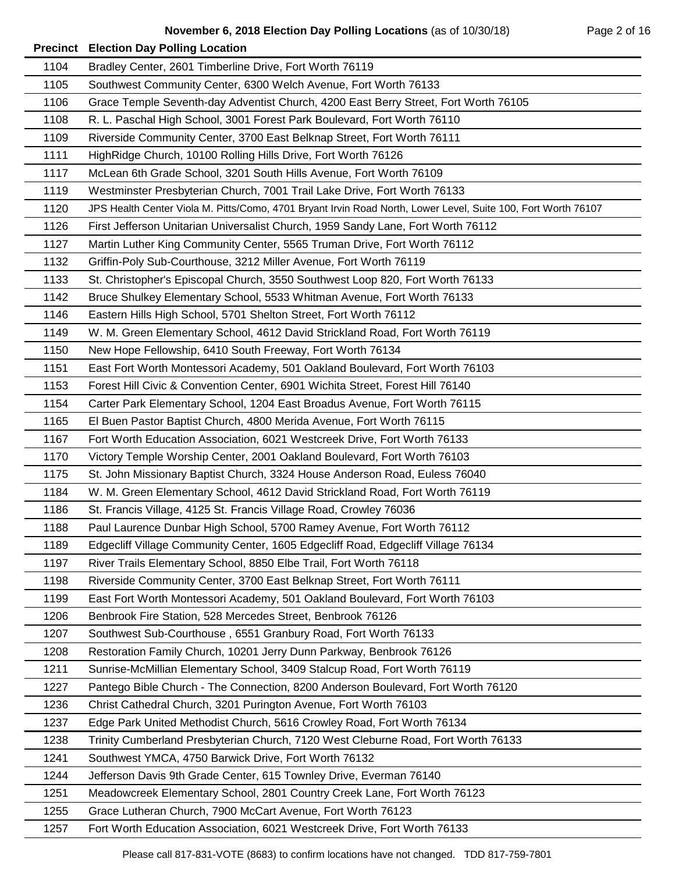|      | <b>Precinct Election Day Polling Location</b>                                                                 |
|------|---------------------------------------------------------------------------------------------------------------|
| 1104 | Bradley Center, 2601 Timberline Drive, Fort Worth 76119                                                       |
| 1105 | Southwest Community Center, 6300 Welch Avenue, Fort Worth 76133                                               |
| 1106 | Grace Temple Seventh-day Adventist Church, 4200 East Berry Street, Fort Worth 76105                           |
| 1108 | R. L. Paschal High School, 3001 Forest Park Boulevard, Fort Worth 76110                                       |
| 1109 | Riverside Community Center, 3700 East Belknap Street, Fort Worth 76111                                        |
| 1111 | HighRidge Church, 10100 Rolling Hills Drive, Fort Worth 76126                                                 |
| 1117 | McLean 6th Grade School, 3201 South Hills Avenue, Fort Worth 76109                                            |
| 1119 | Westminster Presbyterian Church, 7001 Trail Lake Drive, Fort Worth 76133                                      |
| 1120 | JPS Health Center Viola M. Pitts/Como, 4701 Bryant Irvin Road North, Lower Level, Suite 100, Fort Worth 76107 |
| 1126 | First Jefferson Unitarian Universalist Church, 1959 Sandy Lane, Fort Worth 76112                              |
| 1127 | Martin Luther King Community Center, 5565 Truman Drive, Fort Worth 76112                                      |
| 1132 | Griffin-Poly Sub-Courthouse, 3212 Miller Avenue, Fort Worth 76119                                             |
| 1133 | St. Christopher's Episcopal Church, 3550 Southwest Loop 820, Fort Worth 76133                                 |
| 1142 | Bruce Shulkey Elementary School, 5533 Whitman Avenue, Fort Worth 76133                                        |
| 1146 | Eastern Hills High School, 5701 Shelton Street, Fort Worth 76112                                              |
| 1149 | W. M. Green Elementary School, 4612 David Strickland Road, Fort Worth 76119                                   |
| 1150 | New Hope Fellowship, 6410 South Freeway, Fort Worth 76134                                                     |
| 1151 | East Fort Worth Montessori Academy, 501 Oakland Boulevard, Fort Worth 76103                                   |
| 1153 | Forest Hill Civic & Convention Center, 6901 Wichita Street, Forest Hill 76140                                 |
| 1154 | Carter Park Elementary School, 1204 East Broadus Avenue, Fort Worth 76115                                     |
| 1165 | El Buen Pastor Baptist Church, 4800 Merida Avenue, Fort Worth 76115                                           |
| 1167 | Fort Worth Education Association, 6021 Westcreek Drive, Fort Worth 76133                                      |
| 1170 | Victory Temple Worship Center, 2001 Oakland Boulevard, Fort Worth 76103                                       |
| 1175 | St. John Missionary Baptist Church, 3324 House Anderson Road, Euless 76040                                    |
| 1184 | W. M. Green Elementary School, 4612 David Strickland Road, Fort Worth 76119                                   |
| 1186 | St. Francis Village, 4125 St. Francis Village Road, Crowley 76036                                             |
| 1188 | Paul Laurence Dunbar High School, 5700 Ramey Avenue, Fort Worth 76112                                         |
| 1189 | Edgecliff Village Community Center, 1605 Edgecliff Road, Edgecliff Village 76134                              |
| 1197 | River Trails Elementary School, 8850 Elbe Trail, Fort Worth 76118                                             |
| 1198 | Riverside Community Center, 3700 East Belknap Street, Fort Worth 76111                                        |
| 1199 | East Fort Worth Montessori Academy, 501 Oakland Boulevard, Fort Worth 76103                                   |
| 1206 | Benbrook Fire Station, 528 Mercedes Street, Benbrook 76126                                                    |
| 1207 | Southwest Sub-Courthouse, 6551 Granbury Road, Fort Worth 76133                                                |
| 1208 | Restoration Family Church, 10201 Jerry Dunn Parkway, Benbrook 76126                                           |
| 1211 | Sunrise-McMillian Elementary School, 3409 Stalcup Road, Fort Worth 76119                                      |
| 1227 | Pantego Bible Church - The Connection, 8200 Anderson Boulevard, Fort Worth 76120                              |
| 1236 | Christ Cathedral Church, 3201 Purington Avenue, Fort Worth 76103                                              |
| 1237 | Edge Park United Methodist Church, 5616 Crowley Road, Fort Worth 76134                                        |
| 1238 | Trinity Cumberland Presbyterian Church, 7120 West Cleburne Road, Fort Worth 76133                             |
| 1241 | Southwest YMCA, 4750 Barwick Drive, Fort Worth 76132                                                          |
| 1244 | Jefferson Davis 9th Grade Center, 615 Townley Drive, Everman 76140                                            |
| 1251 | Meadowcreek Elementary School, 2801 Country Creek Lane, Fort Worth 76123                                      |
| 1255 | Grace Lutheran Church, 7900 McCart Avenue, Fort Worth 76123                                                   |
| 1257 | Fort Worth Education Association, 6021 Westcreek Drive, Fort Worth 76133                                      |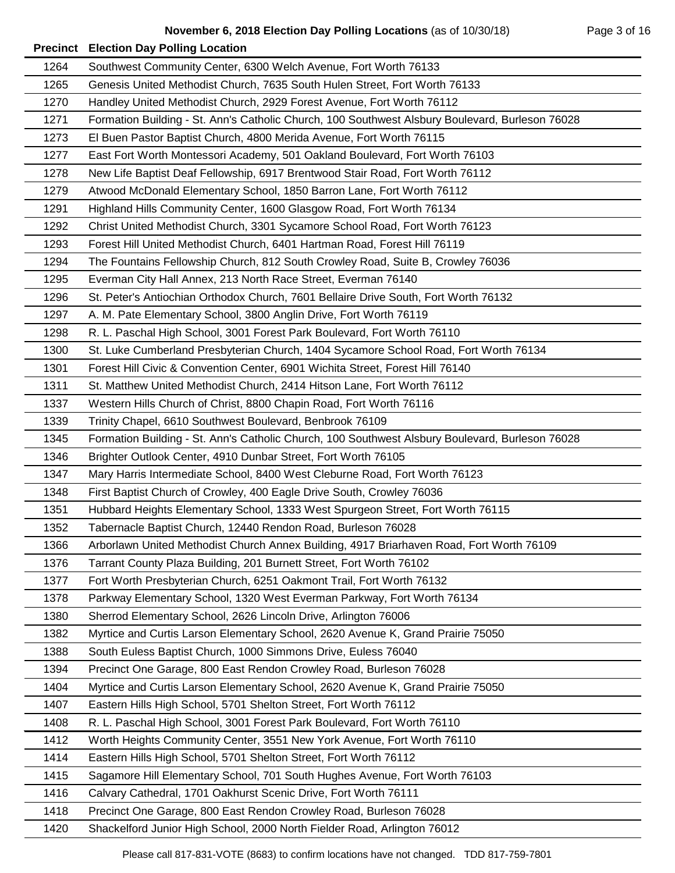| 1264 | Southwest Community Center, 6300 Welch Avenue, Fort Worth 76133                                 |
|------|-------------------------------------------------------------------------------------------------|
| 1265 | Genesis United Methodist Church, 7635 South Hulen Street, Fort Worth 76133                      |
| 1270 | Handley United Methodist Church, 2929 Forest Avenue, Fort Worth 76112                           |
| 1271 | Formation Building - St. Ann's Catholic Church, 100 Southwest Alsbury Boulevard, Burleson 76028 |
| 1273 | El Buen Pastor Baptist Church, 4800 Merida Avenue, Fort Worth 76115                             |
| 1277 | East Fort Worth Montessori Academy, 501 Oakland Boulevard, Fort Worth 76103                     |
| 1278 | New Life Baptist Deaf Fellowship, 6917 Brentwood Stair Road, Fort Worth 76112                   |
| 1279 | Atwood McDonald Elementary School, 1850 Barron Lane, Fort Worth 76112                           |
| 1291 | Highland Hills Community Center, 1600 Glasgow Road, Fort Worth 76134                            |
| 1292 | Christ United Methodist Church, 3301 Sycamore School Road, Fort Worth 76123                     |
| 1293 | Forest Hill United Methodist Church, 6401 Hartman Road, Forest Hill 76119                       |
| 1294 | The Fountains Fellowship Church, 812 South Crowley Road, Suite B, Crowley 76036                 |
| 1295 | Everman City Hall Annex, 213 North Race Street, Everman 76140                                   |
| 1296 | St. Peter's Antiochian Orthodox Church, 7601 Bellaire Drive South, Fort Worth 76132             |
| 1297 | A. M. Pate Elementary School, 3800 Anglin Drive, Fort Worth 76119                               |
| 1298 | R. L. Paschal High School, 3001 Forest Park Boulevard, Fort Worth 76110                         |
| 1300 | St. Luke Cumberland Presbyterian Church, 1404 Sycamore School Road, Fort Worth 76134            |
| 1301 | Forest Hill Civic & Convention Center, 6901 Wichita Street, Forest Hill 76140                   |
| 1311 | St. Matthew United Methodist Church, 2414 Hitson Lane, Fort Worth 76112                         |
| 1337 | Western Hills Church of Christ, 8800 Chapin Road, Fort Worth 76116                              |
| 1339 | Trinity Chapel, 6610 Southwest Boulevard, Benbrook 76109                                        |
| 1345 | Formation Building - St. Ann's Catholic Church, 100 Southwest Alsbury Boulevard, Burleson 76028 |
| 1346 | Brighter Outlook Center, 4910 Dunbar Street, Fort Worth 76105                                   |
| 1347 | Mary Harris Intermediate School, 8400 West Cleburne Road, Fort Worth 76123                      |
| 1348 | First Baptist Church of Crowley, 400 Eagle Drive South, Crowley 76036                           |
| 1351 | Hubbard Heights Elementary School, 1333 West Spurgeon Street, Fort Worth 76115                  |
| 1352 | Tabernacle Baptist Church, 12440 Rendon Road, Burleson 76028                                    |
| 1366 | Arborlawn United Methodist Church Annex Building, 4917 Briarhaven Road, Fort Worth 76109        |
| 1376 | Tarrant County Plaza Building, 201 Burnett Street, Fort Worth 76102                             |
| 1377 | Fort Worth Presbyterian Church, 6251 Oakmont Trail, Fort Worth 76132                            |
| 1378 | Parkway Elementary School, 1320 West Everman Parkway, Fort Worth 76134                          |
| 1380 | Sherrod Elementary School, 2626 Lincoln Drive, Arlington 76006                                  |
| 1382 | Myrtice and Curtis Larson Elementary School, 2620 Avenue K, Grand Prairie 75050                 |
| 1388 | South Euless Baptist Church, 1000 Simmons Drive, Euless 76040                                   |
| 1394 | Precinct One Garage, 800 East Rendon Crowley Road, Burleson 76028                               |
| 1404 | Myrtice and Curtis Larson Elementary School, 2620 Avenue K, Grand Prairie 75050                 |
| 1407 | Eastern Hills High School, 5701 Shelton Street, Fort Worth 76112                                |
| 1408 | R. L. Paschal High School, 3001 Forest Park Boulevard, Fort Worth 76110                         |
| 1412 | Worth Heights Community Center, 3551 New York Avenue, Fort Worth 76110                          |
| 1414 | Eastern Hills High School, 5701 Shelton Street, Fort Worth 76112                                |
| 1415 | Sagamore Hill Elementary School, 701 South Hughes Avenue, Fort Worth 76103                      |
| 1416 | Calvary Cathedral, 1701 Oakhurst Scenic Drive, Fort Worth 76111                                 |
| 1418 | Precinct One Garage, 800 East Rendon Crowley Road, Burleson 76028                               |
| 1420 | Shackelford Junior High School, 2000 North Fielder Road, Arlington 76012                        |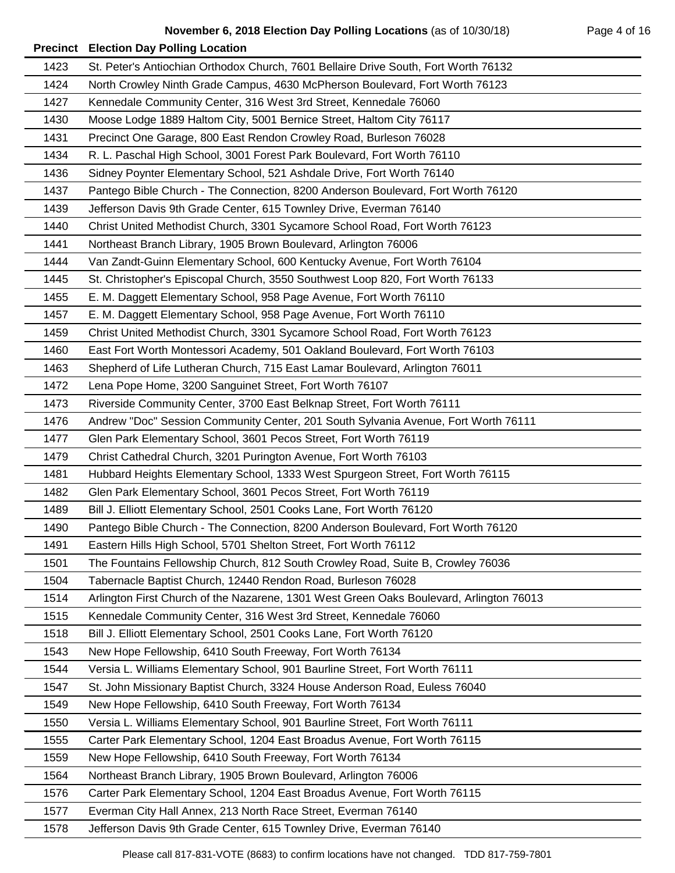| 1423 | St. Peter's Antiochian Orthodox Church, 7601 Bellaire Drive South, Fort Worth 76132     |
|------|-----------------------------------------------------------------------------------------|
| 1424 | North Crowley Ninth Grade Campus, 4630 McPherson Boulevard, Fort Worth 76123            |
| 1427 | Kennedale Community Center, 316 West 3rd Street, Kennedale 76060                        |
| 1430 | Moose Lodge 1889 Haltom City, 5001 Bernice Street, Haltom City 76117                    |
| 1431 | Precinct One Garage, 800 East Rendon Crowley Road, Burleson 76028                       |
| 1434 | R. L. Paschal High School, 3001 Forest Park Boulevard, Fort Worth 76110                 |
| 1436 | Sidney Poynter Elementary School, 521 Ashdale Drive, Fort Worth 76140                   |
| 1437 | Pantego Bible Church - The Connection, 8200 Anderson Boulevard, Fort Worth 76120        |
| 1439 | Jefferson Davis 9th Grade Center, 615 Townley Drive, Everman 76140                      |
| 1440 | Christ United Methodist Church, 3301 Sycamore School Road, Fort Worth 76123             |
| 1441 | Northeast Branch Library, 1905 Brown Boulevard, Arlington 76006                         |
| 1444 | Van Zandt-Guinn Elementary School, 600 Kentucky Avenue, Fort Worth 76104                |
| 1445 | St. Christopher's Episcopal Church, 3550 Southwest Loop 820, Fort Worth 76133           |
| 1455 | E. M. Daggett Elementary School, 958 Page Avenue, Fort Worth 76110                      |
| 1457 | E. M. Daggett Elementary School, 958 Page Avenue, Fort Worth 76110                      |
| 1459 | Christ United Methodist Church, 3301 Sycamore School Road, Fort Worth 76123             |
| 1460 | East Fort Worth Montessori Academy, 501 Oakland Boulevard, Fort Worth 76103             |
| 1463 | Shepherd of Life Lutheran Church, 715 East Lamar Boulevard, Arlington 76011             |
| 1472 | Lena Pope Home, 3200 Sanguinet Street, Fort Worth 76107                                 |
| 1473 | Riverside Community Center, 3700 East Belknap Street, Fort Worth 76111                  |
| 1476 | Andrew "Doc" Session Community Center, 201 South Sylvania Avenue, Fort Worth 76111      |
| 1477 | Glen Park Elementary School, 3601 Pecos Street, Fort Worth 76119                        |
| 1479 | Christ Cathedral Church, 3201 Purington Avenue, Fort Worth 76103                        |
| 1481 | Hubbard Heights Elementary School, 1333 West Spurgeon Street, Fort Worth 76115          |
| 1482 | Glen Park Elementary School, 3601 Pecos Street, Fort Worth 76119                        |
| 1489 | Bill J. Elliott Elementary School, 2501 Cooks Lane, Fort Worth 76120                    |
| 1490 | Pantego Bible Church - The Connection, 8200 Anderson Boulevard, Fort Worth 76120        |
| 1491 | Eastern Hills High School, 5701 Shelton Street, Fort Worth 76112                        |
| 1501 | The Fountains Fellowship Church, 812 South Crowley Road, Suite B, Crowley 76036         |
| 1504 | Tabernacle Baptist Church, 12440 Rendon Road, Burleson 76028                            |
| 1514 | Arlington First Church of the Nazarene, 1301 West Green Oaks Boulevard, Arlington 76013 |
| 1515 | Kennedale Community Center, 316 West 3rd Street, Kennedale 76060                        |
| 1518 | Bill J. Elliott Elementary School, 2501 Cooks Lane, Fort Worth 76120                    |
| 1543 | New Hope Fellowship, 6410 South Freeway, Fort Worth 76134                               |
| 1544 | Versia L. Williams Elementary School, 901 Baurline Street, Fort Worth 76111             |
| 1547 | St. John Missionary Baptist Church, 3324 House Anderson Road, Euless 76040              |
| 1549 | New Hope Fellowship, 6410 South Freeway, Fort Worth 76134                               |
| 1550 | Versia L. Williams Elementary School, 901 Baurline Street, Fort Worth 76111             |
| 1555 | Carter Park Elementary School, 1204 East Broadus Avenue, Fort Worth 76115               |
| 1559 | New Hope Fellowship, 6410 South Freeway, Fort Worth 76134                               |
| 1564 | Northeast Branch Library, 1905 Brown Boulevard, Arlington 76006                         |
| 1576 | Carter Park Elementary School, 1204 East Broadus Avenue, Fort Worth 76115               |
| 1577 | Everman City Hall Annex, 213 North Race Street, Everman 76140                           |
| 1578 | Jefferson Davis 9th Grade Center, 615 Townley Drive, Everman 76140                      |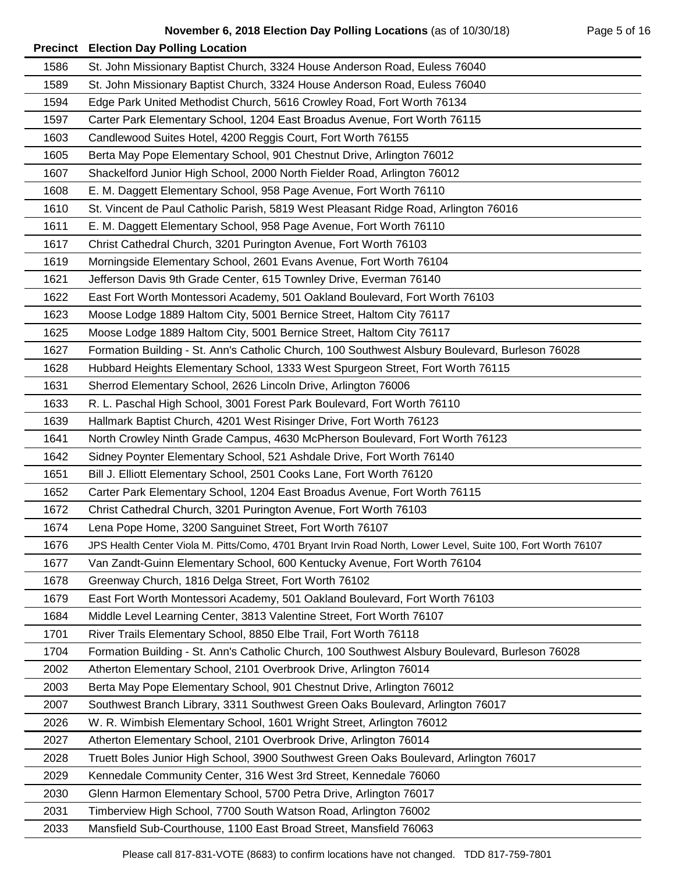| 1586 | St. John Missionary Baptist Church, 3324 House Anderson Road, Euless 76040                                    |
|------|---------------------------------------------------------------------------------------------------------------|
| 1589 | St. John Missionary Baptist Church, 3324 House Anderson Road, Euless 76040                                    |
| 1594 | Edge Park United Methodist Church, 5616 Crowley Road, Fort Worth 76134                                        |
| 1597 | Carter Park Elementary School, 1204 East Broadus Avenue, Fort Worth 76115                                     |
| 1603 | Candlewood Suites Hotel, 4200 Reggis Court, Fort Worth 76155                                                  |
| 1605 | Berta May Pope Elementary School, 901 Chestnut Drive, Arlington 76012                                         |
| 1607 | Shackelford Junior High School, 2000 North Fielder Road, Arlington 76012                                      |
| 1608 | E. M. Daggett Elementary School, 958 Page Avenue, Fort Worth 76110                                            |
| 1610 | St. Vincent de Paul Catholic Parish, 5819 West Pleasant Ridge Road, Arlington 76016                           |
| 1611 | E. M. Daggett Elementary School, 958 Page Avenue, Fort Worth 76110                                            |
| 1617 | Christ Cathedral Church, 3201 Purington Avenue, Fort Worth 76103                                              |
| 1619 | Morningside Elementary School, 2601 Evans Avenue, Fort Worth 76104                                            |
| 1621 | Jefferson Davis 9th Grade Center, 615 Townley Drive, Everman 76140                                            |
| 1622 | East Fort Worth Montessori Academy, 501 Oakland Boulevard, Fort Worth 76103                                   |
| 1623 | Moose Lodge 1889 Haltom City, 5001 Bernice Street, Haltom City 76117                                          |
| 1625 | Moose Lodge 1889 Haltom City, 5001 Bernice Street, Haltom City 76117                                          |
| 1627 | Formation Building - St. Ann's Catholic Church, 100 Southwest Alsbury Boulevard, Burleson 76028               |
| 1628 | Hubbard Heights Elementary School, 1333 West Spurgeon Street, Fort Worth 76115                                |
| 1631 | Sherrod Elementary School, 2626 Lincoln Drive, Arlington 76006                                                |
| 1633 | R. L. Paschal High School, 3001 Forest Park Boulevard, Fort Worth 76110                                       |
| 1639 | Hallmark Baptist Church, 4201 West Risinger Drive, Fort Worth 76123                                           |
| 1641 | North Crowley Ninth Grade Campus, 4630 McPherson Boulevard, Fort Worth 76123                                  |
| 1642 | Sidney Poynter Elementary School, 521 Ashdale Drive, Fort Worth 76140                                         |
| 1651 | Bill J. Elliott Elementary School, 2501 Cooks Lane, Fort Worth 76120                                          |
| 1652 | Carter Park Elementary School, 1204 East Broadus Avenue, Fort Worth 76115                                     |
| 1672 | Christ Cathedral Church, 3201 Purington Avenue, Fort Worth 76103                                              |
| 1674 | Lena Pope Home, 3200 Sanguinet Street, Fort Worth 76107                                                       |
| 1676 | JPS Health Center Viola M. Pitts/Como, 4701 Bryant Irvin Road North, Lower Level, Suite 100, Fort Worth 76107 |
| 1677 | Van Zandt-Guinn Elementary School, 600 Kentucky Avenue, Fort Worth 76104                                      |
| 1678 | Greenway Church, 1816 Delga Street, Fort Worth 76102                                                          |
| 1679 | East Fort Worth Montessori Academy, 501 Oakland Boulevard, Fort Worth 76103                                   |
| 1684 | Middle Level Learning Center, 3813 Valentine Street, Fort Worth 76107                                         |
| 1701 | River Trails Elementary School, 8850 Elbe Trail, Fort Worth 76118                                             |
| 1704 | Formation Building - St. Ann's Catholic Church, 100 Southwest Alsbury Boulevard, Burleson 76028               |
| 2002 | Atherton Elementary School, 2101 Overbrook Drive, Arlington 76014                                             |
| 2003 | Berta May Pope Elementary School, 901 Chestnut Drive, Arlington 76012                                         |
| 2007 | Southwest Branch Library, 3311 Southwest Green Oaks Boulevard, Arlington 76017                                |
| 2026 | W. R. Wimbish Elementary School, 1601 Wright Street, Arlington 76012                                          |
| 2027 | Atherton Elementary School, 2101 Overbrook Drive, Arlington 76014                                             |
| 2028 | Truett Boles Junior High School, 3900 Southwest Green Oaks Boulevard, Arlington 76017                         |
| 2029 | Kennedale Community Center, 316 West 3rd Street, Kennedale 76060                                              |
| 2030 | Glenn Harmon Elementary School, 5700 Petra Drive, Arlington 76017                                             |
| 2031 | Timberview High School, 7700 South Watson Road, Arlington 76002                                               |
| 2033 | Mansfield Sub-Courthouse, 1100 East Broad Street, Mansfield 76063                                             |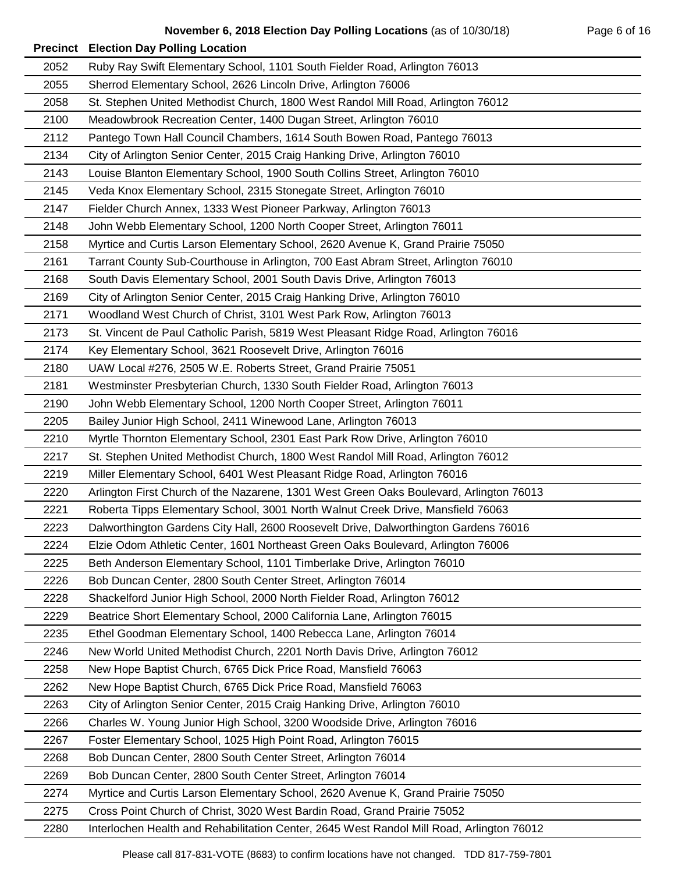| 2052 | Ruby Ray Swift Elementary School, 1101 South Fielder Road, Arlington 76013                |
|------|-------------------------------------------------------------------------------------------|
| 2055 | Sherrod Elementary School, 2626 Lincoln Drive, Arlington 76006                            |
| 2058 | St. Stephen United Methodist Church, 1800 West Randol Mill Road, Arlington 76012          |
| 2100 | Meadowbrook Recreation Center, 1400 Dugan Street, Arlington 76010                         |
| 2112 | Pantego Town Hall Council Chambers, 1614 South Bowen Road, Pantego 76013                  |
| 2134 | City of Arlington Senior Center, 2015 Craig Hanking Drive, Arlington 76010                |
| 2143 | Louise Blanton Elementary School, 1900 South Collins Street, Arlington 76010              |
| 2145 | Veda Knox Elementary School, 2315 Stonegate Street, Arlington 76010                       |
| 2147 | Fielder Church Annex, 1333 West Pioneer Parkway, Arlington 76013                          |
| 2148 | John Webb Elementary School, 1200 North Cooper Street, Arlington 76011                    |
| 2158 | Myrtice and Curtis Larson Elementary School, 2620 Avenue K, Grand Prairie 75050           |
| 2161 | Tarrant County Sub-Courthouse in Arlington, 700 East Abram Street, Arlington 76010        |
| 2168 | South Davis Elementary School, 2001 South Davis Drive, Arlington 76013                    |
| 2169 | City of Arlington Senior Center, 2015 Craig Hanking Drive, Arlington 76010                |
| 2171 | Woodland West Church of Christ, 3101 West Park Row, Arlington 76013                       |
| 2173 | St. Vincent de Paul Catholic Parish, 5819 West Pleasant Ridge Road, Arlington 76016       |
| 2174 | Key Elementary School, 3621 Roosevelt Drive, Arlington 76016                              |
| 2180 | UAW Local #276, 2505 W.E. Roberts Street, Grand Prairie 75051                             |
| 2181 | Westminster Presbyterian Church, 1330 South Fielder Road, Arlington 76013                 |
| 2190 | John Webb Elementary School, 1200 North Cooper Street, Arlington 76011                    |
| 2205 | Bailey Junior High School, 2411 Winewood Lane, Arlington 76013                            |
| 2210 | Myrtle Thornton Elementary School, 2301 East Park Row Drive, Arlington 76010              |
| 2217 | St. Stephen United Methodist Church, 1800 West Randol Mill Road, Arlington 76012          |
| 2219 | Miller Elementary School, 6401 West Pleasant Ridge Road, Arlington 76016                  |
| 2220 | Arlington First Church of the Nazarene, 1301 West Green Oaks Boulevard, Arlington 76013   |
| 2221 | Roberta Tipps Elementary School, 3001 North Walnut Creek Drive, Mansfield 76063           |
| 2223 | Dalworthington Gardens City Hall, 2600 Roosevelt Drive, Dalworthington Gardens 76016      |
| 2224 | Elzie Odom Athletic Center, 1601 Northeast Green Oaks Boulevard, Arlington 76006          |
| 2225 | Beth Anderson Elementary School, 1101 Timberlake Drive, Arlington 76010                   |
| 2226 | Bob Duncan Center, 2800 South Center Street, Arlington 76014                              |
| 2228 | Shackelford Junior High School, 2000 North Fielder Road, Arlington 76012                  |
| 2229 | Beatrice Short Elementary School, 2000 California Lane, Arlington 76015                   |
| 2235 | Ethel Goodman Elementary School, 1400 Rebecca Lane, Arlington 76014                       |
| 2246 | New World United Methodist Church, 2201 North Davis Drive, Arlington 76012                |
| 2258 | New Hope Baptist Church, 6765 Dick Price Road, Mansfield 76063                            |
| 2262 | New Hope Baptist Church, 6765 Dick Price Road, Mansfield 76063                            |
| 2263 | City of Arlington Senior Center, 2015 Craig Hanking Drive, Arlington 76010                |
| 2266 | Charles W. Young Junior High School, 3200 Woodside Drive, Arlington 76016                 |
| 2267 | Foster Elementary School, 1025 High Point Road, Arlington 76015                           |
| 2268 | Bob Duncan Center, 2800 South Center Street, Arlington 76014                              |
| 2269 | Bob Duncan Center, 2800 South Center Street, Arlington 76014                              |
| 2274 | Myrtice and Curtis Larson Elementary School, 2620 Avenue K, Grand Prairie 75050           |
| 2275 | Cross Point Church of Christ, 3020 West Bardin Road, Grand Prairie 75052                  |
| 2280 | Interlochen Health and Rehabilitation Center, 2645 West Randol Mill Road, Arlington 76012 |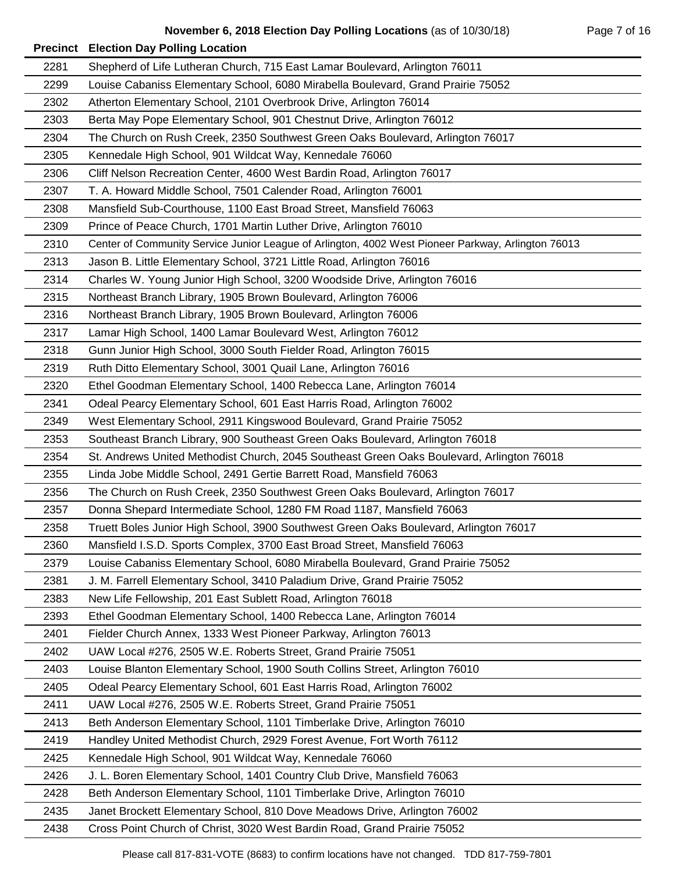| 2281 | Shepherd of Life Lutheran Church, 715 East Lamar Boulevard, Arlington 76011                        |
|------|----------------------------------------------------------------------------------------------------|
| 2299 | Louise Cabaniss Elementary School, 6080 Mirabella Boulevard, Grand Prairie 75052                   |
| 2302 | Atherton Elementary School, 2101 Overbrook Drive, Arlington 76014                                  |
| 2303 | Berta May Pope Elementary School, 901 Chestnut Drive, Arlington 76012                              |
| 2304 | The Church on Rush Creek, 2350 Southwest Green Oaks Boulevard, Arlington 76017                     |
| 2305 | Kennedale High School, 901 Wildcat Way, Kennedale 76060                                            |
| 2306 | Cliff Nelson Recreation Center, 4600 West Bardin Road, Arlington 76017                             |
| 2307 | T. A. Howard Middle School, 7501 Calender Road, Arlington 76001                                    |
| 2308 | Mansfield Sub-Courthouse, 1100 East Broad Street, Mansfield 76063                                  |
| 2309 | Prince of Peace Church, 1701 Martin Luther Drive, Arlington 76010                                  |
| 2310 | Center of Community Service Junior League of Arlington, 4002 West Pioneer Parkway, Arlington 76013 |
| 2313 | Jason B. Little Elementary School, 3721 Little Road, Arlington 76016                               |
| 2314 | Charles W. Young Junior High School, 3200 Woodside Drive, Arlington 76016                          |
| 2315 | Northeast Branch Library, 1905 Brown Boulevard, Arlington 76006                                    |
| 2316 | Northeast Branch Library, 1905 Brown Boulevard, Arlington 76006                                    |
| 2317 | Lamar High School, 1400 Lamar Boulevard West, Arlington 76012                                      |
| 2318 | Gunn Junior High School, 3000 South Fielder Road, Arlington 76015                                  |
| 2319 | Ruth Ditto Elementary School, 3001 Quail Lane, Arlington 76016                                     |
| 2320 | Ethel Goodman Elementary School, 1400 Rebecca Lane, Arlington 76014                                |
| 2341 | Odeal Pearcy Elementary School, 601 East Harris Road, Arlington 76002                              |
| 2349 | West Elementary School, 2911 Kingswood Boulevard, Grand Prairie 75052                              |
| 2353 | Southeast Branch Library, 900 Southeast Green Oaks Boulevard, Arlington 76018                      |
| 2354 | St. Andrews United Methodist Church, 2045 Southeast Green Oaks Boulevard, Arlington 76018          |
| 2355 | Linda Jobe Middle School, 2491 Gertie Barrett Road, Mansfield 76063                                |
| 2356 | The Church on Rush Creek, 2350 Southwest Green Oaks Boulevard, Arlington 76017                     |
| 2357 | Donna Shepard Intermediate School, 1280 FM Road 1187, Mansfield 76063                              |
| 2358 | Truett Boles Junior High School, 3900 Southwest Green Oaks Boulevard, Arlington 76017              |
| 2360 | Mansfield I.S.D. Sports Complex, 3700 East Broad Street, Mansfield 76063                           |
| 2379 | Louise Cabaniss Elementary School, 6080 Mirabella Boulevard, Grand Prairie 75052                   |
| 2381 | J. M. Farrell Elementary School, 3410 Paladium Drive, Grand Prairie 75052                          |
| 2383 | New Life Fellowship, 201 East Sublett Road, Arlington 76018                                        |
| 2393 | Ethel Goodman Elementary School, 1400 Rebecca Lane, Arlington 76014                                |
| 2401 | Fielder Church Annex, 1333 West Pioneer Parkway, Arlington 76013                                   |
| 2402 | UAW Local #276, 2505 W.E. Roberts Street, Grand Prairie 75051                                      |
| 2403 | Louise Blanton Elementary School, 1900 South Collins Street, Arlington 76010                       |
| 2405 | Odeal Pearcy Elementary School, 601 East Harris Road, Arlington 76002                              |
| 2411 | UAW Local #276, 2505 W.E. Roberts Street, Grand Prairie 75051                                      |
| 2413 | Beth Anderson Elementary School, 1101 Timberlake Drive, Arlington 76010                            |
| 2419 | Handley United Methodist Church, 2929 Forest Avenue, Fort Worth 76112                              |
| 2425 | Kennedale High School, 901 Wildcat Way, Kennedale 76060                                            |
| 2426 | J. L. Boren Elementary School, 1401 Country Club Drive, Mansfield 76063                            |
| 2428 | Beth Anderson Elementary School, 1101 Timberlake Drive, Arlington 76010                            |
| 2435 | Janet Brockett Elementary School, 810 Dove Meadows Drive, Arlington 76002                          |
| 2438 | Cross Point Church of Christ, 3020 West Bardin Road, Grand Prairie 75052                           |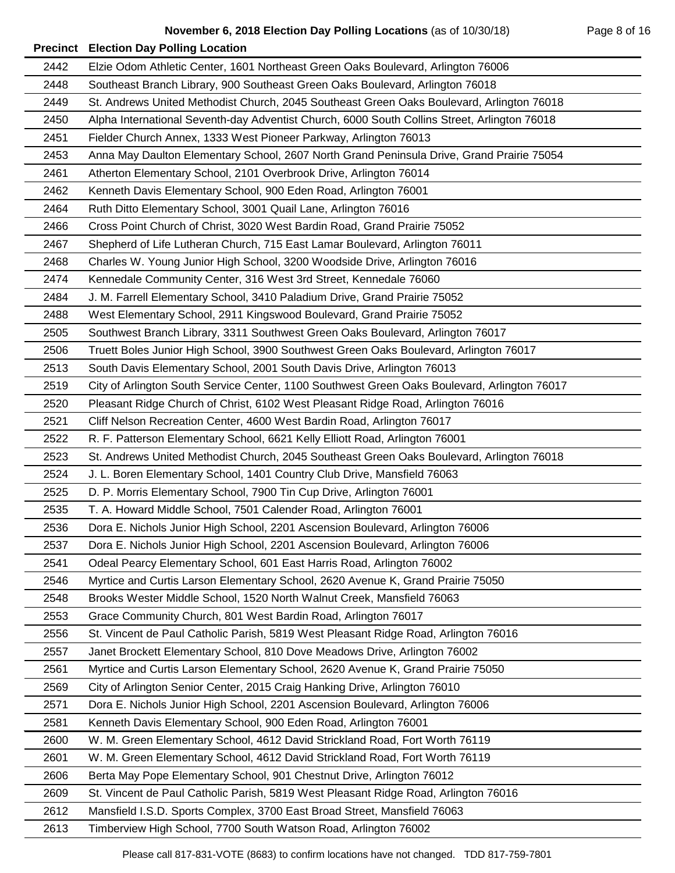| 2442 | Elzie Odom Athletic Center, 1601 Northeast Green Oaks Boulevard, Arlington 76006             |
|------|----------------------------------------------------------------------------------------------|
| 2448 | Southeast Branch Library, 900 Southeast Green Oaks Boulevard, Arlington 76018                |
| 2449 | St. Andrews United Methodist Church, 2045 Southeast Green Oaks Boulevard, Arlington 76018    |
| 2450 | Alpha International Seventh-day Adventist Church, 6000 South Collins Street, Arlington 76018 |
| 2451 | Fielder Church Annex, 1333 West Pioneer Parkway, Arlington 76013                             |
| 2453 | Anna May Daulton Elementary School, 2607 North Grand Peninsula Drive, Grand Prairie 75054    |
| 2461 | Atherton Elementary School, 2101 Overbrook Drive, Arlington 76014                            |
| 2462 | Kenneth Davis Elementary School, 900 Eden Road, Arlington 76001                              |
| 2464 | Ruth Ditto Elementary School, 3001 Quail Lane, Arlington 76016                               |
| 2466 | Cross Point Church of Christ, 3020 West Bardin Road, Grand Prairie 75052                     |
| 2467 | Shepherd of Life Lutheran Church, 715 East Lamar Boulevard, Arlington 76011                  |
| 2468 | Charles W. Young Junior High School, 3200 Woodside Drive, Arlington 76016                    |
| 2474 | Kennedale Community Center, 316 West 3rd Street, Kennedale 76060                             |
| 2484 | J. M. Farrell Elementary School, 3410 Paladium Drive, Grand Prairie 75052                    |
| 2488 | West Elementary School, 2911 Kingswood Boulevard, Grand Prairie 75052                        |
| 2505 | Southwest Branch Library, 3311 Southwest Green Oaks Boulevard, Arlington 76017               |
| 2506 | Truett Boles Junior High School, 3900 Southwest Green Oaks Boulevard, Arlington 76017        |
| 2513 | South Davis Elementary School, 2001 South Davis Drive, Arlington 76013                       |
| 2519 | City of Arlington South Service Center, 1100 Southwest Green Oaks Boulevard, Arlington 76017 |
| 2520 | Pleasant Ridge Church of Christ, 6102 West Pleasant Ridge Road, Arlington 76016              |
| 2521 | Cliff Nelson Recreation Center, 4600 West Bardin Road, Arlington 76017                       |
| 2522 | R. F. Patterson Elementary School, 6621 Kelly Elliott Road, Arlington 76001                  |
| 2523 | St. Andrews United Methodist Church, 2045 Southeast Green Oaks Boulevard, Arlington 76018    |
| 2524 | J. L. Boren Elementary School, 1401 Country Club Drive, Mansfield 76063                      |
| 2525 | D. P. Morris Elementary School, 7900 Tin Cup Drive, Arlington 76001                          |
| 2535 | T. A. Howard Middle School, 7501 Calender Road, Arlington 76001                              |
| 2536 | Dora E. Nichols Junior High School, 2201 Ascension Boulevard, Arlington 76006                |
| 2537 | Dora E. Nichols Junior High School, 2201 Ascension Boulevard, Arlington 76006                |
| 2541 | Odeal Pearcy Elementary School, 601 East Harris Road, Arlington 76002                        |
| 2546 | Myrtice and Curtis Larson Elementary School, 2620 Avenue K, Grand Prairie 75050              |
| 2548 | Brooks Wester Middle School, 1520 North Walnut Creek, Mansfield 76063                        |
| 2553 | Grace Community Church, 801 West Bardin Road, Arlington 76017                                |
| 2556 | St. Vincent de Paul Catholic Parish, 5819 West Pleasant Ridge Road, Arlington 76016          |
| 2557 | Janet Brockett Elementary School, 810 Dove Meadows Drive, Arlington 76002                    |
| 2561 | Myrtice and Curtis Larson Elementary School, 2620 Avenue K, Grand Prairie 75050              |
| 2569 | City of Arlington Senior Center, 2015 Craig Hanking Drive, Arlington 76010                   |
| 2571 | Dora E. Nichols Junior High School, 2201 Ascension Boulevard, Arlington 76006                |
| 2581 | Kenneth Davis Elementary School, 900 Eden Road, Arlington 76001                              |
| 2600 | W. M. Green Elementary School, 4612 David Strickland Road, Fort Worth 76119                  |
| 2601 | W. M. Green Elementary School, 4612 David Strickland Road, Fort Worth 76119                  |
| 2606 | Berta May Pope Elementary School, 901 Chestnut Drive, Arlington 76012                        |
| 2609 | St. Vincent de Paul Catholic Parish, 5819 West Pleasant Ridge Road, Arlington 76016          |
| 2612 | Mansfield I.S.D. Sports Complex, 3700 East Broad Street, Mansfield 76063                     |
| 2613 | Timberview High School, 7700 South Watson Road, Arlington 76002                              |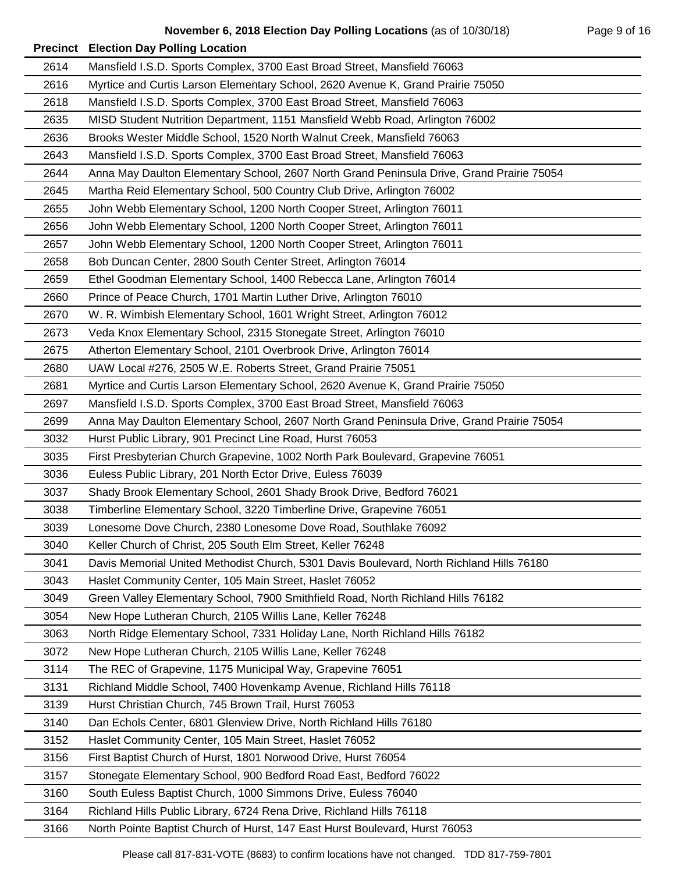| 2614 | Mansfield I.S.D. Sports Complex, 3700 East Broad Street, Mansfield 76063                  |
|------|-------------------------------------------------------------------------------------------|
| 2616 | Myrtice and Curtis Larson Elementary School, 2620 Avenue K, Grand Prairie 75050           |
| 2618 | Mansfield I.S.D. Sports Complex, 3700 East Broad Street, Mansfield 76063                  |
| 2635 | MISD Student Nutrition Department, 1151 Mansfield Webb Road, Arlington 76002              |
| 2636 | Brooks Wester Middle School, 1520 North Walnut Creek, Mansfield 76063                     |
| 2643 | Mansfield I.S.D. Sports Complex, 3700 East Broad Street, Mansfield 76063                  |
| 2644 | Anna May Daulton Elementary School, 2607 North Grand Peninsula Drive, Grand Prairie 75054 |
| 2645 | Martha Reid Elementary School, 500 Country Club Drive, Arlington 76002                    |
| 2655 | John Webb Elementary School, 1200 North Cooper Street, Arlington 76011                    |
| 2656 | John Webb Elementary School, 1200 North Cooper Street, Arlington 76011                    |
| 2657 | John Webb Elementary School, 1200 North Cooper Street, Arlington 76011                    |
| 2658 | Bob Duncan Center, 2800 South Center Street, Arlington 76014                              |
| 2659 | Ethel Goodman Elementary School, 1400 Rebecca Lane, Arlington 76014                       |
| 2660 | Prince of Peace Church, 1701 Martin Luther Drive, Arlington 76010                         |
| 2670 | W. R. Wimbish Elementary School, 1601 Wright Street, Arlington 76012                      |
| 2673 | Veda Knox Elementary School, 2315 Stonegate Street, Arlington 76010                       |
| 2675 | Atherton Elementary School, 2101 Overbrook Drive, Arlington 76014                         |
| 2680 | UAW Local #276, 2505 W.E. Roberts Street, Grand Prairie 75051                             |
| 2681 | Myrtice and Curtis Larson Elementary School, 2620 Avenue K, Grand Prairie 75050           |
| 2697 | Mansfield I.S.D. Sports Complex, 3700 East Broad Street, Mansfield 76063                  |
| 2699 | Anna May Daulton Elementary School, 2607 North Grand Peninsula Drive, Grand Prairie 75054 |
| 3032 | Hurst Public Library, 901 Precinct Line Road, Hurst 76053                                 |
| 3035 | First Presbyterian Church Grapevine, 1002 North Park Boulevard, Grapevine 76051           |
| 3036 | Euless Public Library, 201 North Ector Drive, Euless 76039                                |
| 3037 | Shady Brook Elementary School, 2601 Shady Brook Drive, Bedford 76021                      |
| 3038 | Timberline Elementary School, 3220 Timberline Drive, Grapevine 76051                      |
| 3039 | Lonesome Dove Church, 2380 Lonesome Dove Road, Southlake 76092                            |
| 3040 | Keller Church of Christ, 205 South Elm Street, Keller 76248                               |
| 3041 | Davis Memorial United Methodist Church, 5301 Davis Boulevard, North Richland Hills 76180  |
| 3043 | Haslet Community Center, 105 Main Street, Haslet 76052                                    |
| 3049 | Green Valley Elementary School, 7900 Smithfield Road, North Richland Hills 76182          |
| 3054 | New Hope Lutheran Church, 2105 Willis Lane, Keller 76248                                  |
| 3063 | North Ridge Elementary School, 7331 Holiday Lane, North Richland Hills 76182              |
| 3072 | New Hope Lutheran Church, 2105 Willis Lane, Keller 76248                                  |
| 3114 | The REC of Grapevine, 1175 Municipal Way, Grapevine 76051                                 |
| 3131 | Richland Middle School, 7400 Hovenkamp Avenue, Richland Hills 76118                       |
| 3139 | Hurst Christian Church, 745 Brown Trail, Hurst 76053                                      |
| 3140 | Dan Echols Center, 6801 Glenview Drive, North Richland Hills 76180                        |
| 3152 | Haslet Community Center, 105 Main Street, Haslet 76052                                    |
| 3156 | First Baptist Church of Hurst, 1801 Norwood Drive, Hurst 76054                            |
| 3157 | Stonegate Elementary School, 900 Bedford Road East, Bedford 76022                         |
| 3160 | South Euless Baptist Church, 1000 Simmons Drive, Euless 76040                             |
| 3164 | Richland Hills Public Library, 6724 Rena Drive, Richland Hills 76118                      |
| 3166 | North Pointe Baptist Church of Hurst, 147 East Hurst Boulevard, Hurst 76053               |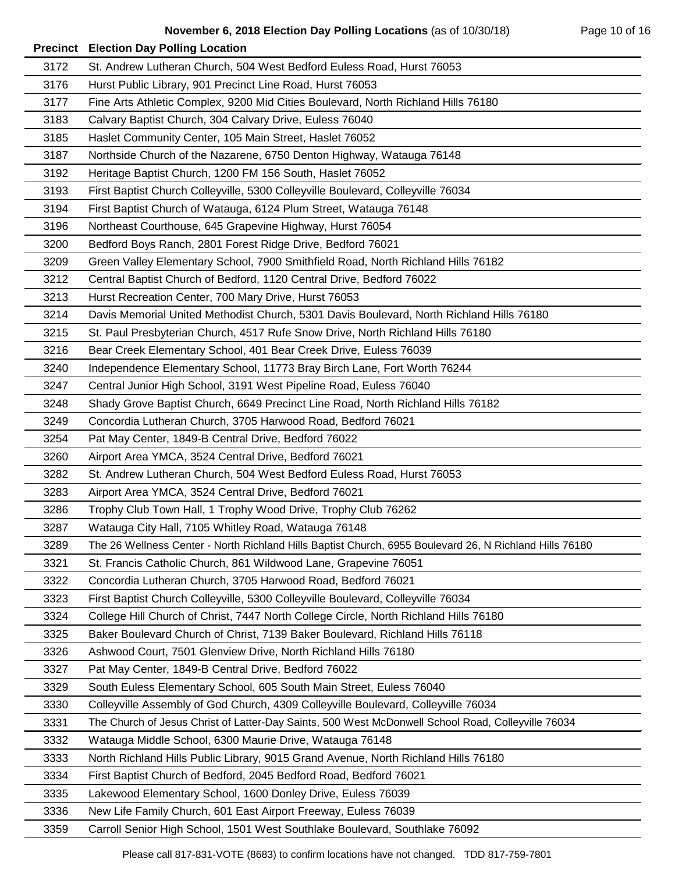|      | <b>Precinct Election Day Polling Location</b>                                                           |
|------|---------------------------------------------------------------------------------------------------------|
| 3172 | St. Andrew Lutheran Church, 504 West Bedford Euless Road, Hurst 76053                                   |
| 3176 | Hurst Public Library, 901 Precinct Line Road, Hurst 76053                                               |
| 3177 | Fine Arts Athletic Complex, 9200 Mid Cities Boulevard, North Richland Hills 76180                       |
| 3183 | Calvary Baptist Church, 304 Calvary Drive, Euless 76040                                                 |
| 3185 | Haslet Community Center, 105 Main Street, Haslet 76052                                                  |
| 3187 | Northside Church of the Nazarene, 6750 Denton Highway, Watauga 76148                                    |
| 3192 | Heritage Baptist Church, 1200 FM 156 South, Haslet 76052                                                |
| 3193 | First Baptist Church Colleyville, 5300 Colleyville Boulevard, Colleyville 76034                         |
| 3194 | First Baptist Church of Watauga, 6124 Plum Street, Watauga 76148                                        |
| 3196 | Northeast Courthouse, 645 Grapevine Highway, Hurst 76054                                                |
| 3200 | Bedford Boys Ranch, 2801 Forest Ridge Drive, Bedford 76021                                              |
| 3209 | Green Valley Elementary School, 7900 Smithfield Road, North Richland Hills 76182                        |
| 3212 | Central Baptist Church of Bedford, 1120 Central Drive, Bedford 76022                                    |
| 3213 | Hurst Recreation Center, 700 Mary Drive, Hurst 76053                                                    |
| 3214 | Davis Memorial United Methodist Church, 5301 Davis Boulevard, North Richland Hills 76180                |
| 3215 | St. Paul Presbyterian Church, 4517 Rufe Snow Drive, North Richland Hills 76180                          |
| 3216 | Bear Creek Elementary School, 401 Bear Creek Drive, Euless 76039                                        |
| 3240 | Independence Elementary School, 11773 Bray Birch Lane, Fort Worth 76244                                 |
| 3247 | Central Junior High School, 3191 West Pipeline Road, Euless 76040                                       |
| 3248 | Shady Grove Baptist Church, 6649 Precinct Line Road, North Richland Hills 76182                         |
| 3249 | Concordia Lutheran Church, 3705 Harwood Road, Bedford 76021                                             |
| 3254 | Pat May Center, 1849-B Central Drive, Bedford 76022                                                     |
| 3260 | Airport Area YMCA, 3524 Central Drive, Bedford 76021                                                    |
| 3282 | St. Andrew Lutheran Church, 504 West Bedford Euless Road, Hurst 76053                                   |
| 3283 | Airport Area YMCA, 3524 Central Drive, Bedford 76021                                                    |
| 3286 | Trophy Club Town Hall, 1 Trophy Wood Drive, Trophy Club 76262                                           |
| 3287 | Watauga City Hall, 7105 Whitley Road, Watauga 76148                                                     |
| 3289 | The 26 Wellness Center - North Richland Hills Baptist Church, 6955 Boulevard 26, N Richland Hills 76180 |
| 3321 | St. Francis Catholic Church, 861 Wildwood Lane, Grapevine 76051                                         |
| 3322 | Concordia Lutheran Church, 3705 Harwood Road, Bedford 76021                                             |
| 3323 | First Baptist Church Colleyville, 5300 Colleyville Boulevard, Colleyville 76034                         |
| 3324 | College Hill Church of Christ, 7447 North College Circle, North Richland Hills 76180                    |
| 3325 | Baker Boulevard Church of Christ, 7139 Baker Boulevard, Richland Hills 76118                            |
| 3326 | Ashwood Court, 7501 Glenview Drive, North Richland Hills 76180                                          |
| 3327 | Pat May Center, 1849-B Central Drive, Bedford 76022                                                     |
| 3329 | South Euless Elementary School, 605 South Main Street, Euless 76040                                     |
| 3330 | Colleyville Assembly of God Church, 4309 Colleyville Boulevard, Colleyville 76034                       |
| 3331 | The Church of Jesus Christ of Latter-Day Saints, 500 West McDonwell School Road, Colleyville 76034      |
| 3332 | Watauga Middle School, 6300 Maurie Drive, Watauga 76148                                                 |
| 3333 | North Richland Hills Public Library, 9015 Grand Avenue, North Richland Hills 76180                      |
| 3334 | First Baptist Church of Bedford, 2045 Bedford Road, Bedford 76021                                       |
| 3335 | Lakewood Elementary School, 1600 Donley Drive, Euless 76039                                             |
| 3336 | New Life Family Church, 601 East Airport Freeway, Euless 76039                                          |
| 3359 | Carroll Senior High School, 1501 West Southlake Boulevard, Southlake 76092                              |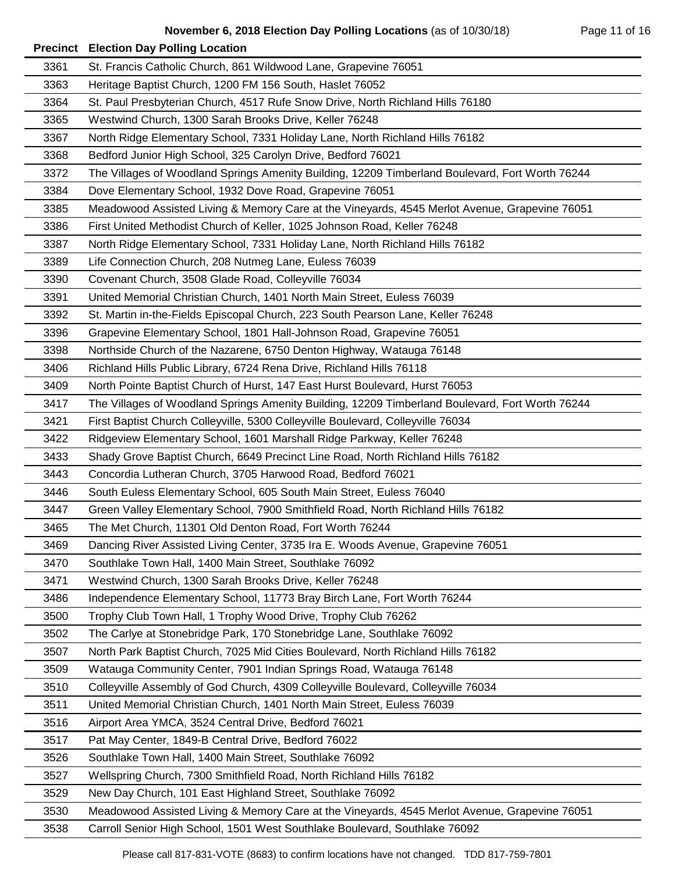## **November 6, 2018 Election Day Polling Locations** (as of 10/30/18) Page 11 of 16

|      | <b>Precinct Election Day Polling Location</b>                                                   |
|------|-------------------------------------------------------------------------------------------------|
| 3361 | St. Francis Catholic Church, 861 Wildwood Lane, Grapevine 76051                                 |
| 3363 | Heritage Baptist Church, 1200 FM 156 South, Haslet 76052                                        |
| 3364 | St. Paul Presbyterian Church, 4517 Rufe Snow Drive, North Richland Hills 76180                  |
| 3365 | Westwind Church, 1300 Sarah Brooks Drive, Keller 76248                                          |
| 3367 | North Ridge Elementary School, 7331 Holiday Lane, North Richland Hills 76182                    |
| 3368 | Bedford Junior High School, 325 Carolyn Drive, Bedford 76021                                    |
| 3372 | The Villages of Woodland Springs Amenity Building, 12209 Timberland Boulevard, Fort Worth 76244 |
| 3384 | Dove Elementary School, 1932 Dove Road, Grapevine 76051                                         |
| 3385 | Meadowood Assisted Living & Memory Care at the Vineyards, 4545 Merlot Avenue, Grapevine 76051   |
| 3386 | First United Methodist Church of Keller, 1025 Johnson Road, Keller 76248                        |
| 3387 | North Ridge Elementary School, 7331 Holiday Lane, North Richland Hills 76182                    |
| 3389 | Life Connection Church, 208 Nutmeg Lane, Euless 76039                                           |
| 3390 | Covenant Church, 3508 Glade Road, Colleyville 76034                                             |
| 3391 | United Memorial Christian Church, 1401 North Main Street, Euless 76039                          |
| 3392 | St. Martin in-the-Fields Episcopal Church, 223 South Pearson Lane, Keller 76248                 |
| 3396 | Grapevine Elementary School, 1801 Hall-Johnson Road, Grapevine 76051                            |
| 3398 | Northside Church of the Nazarene, 6750 Denton Highway, Watauga 76148                            |
| 3406 | Richland Hills Public Library, 6724 Rena Drive, Richland Hills 76118                            |
| 3409 | North Pointe Baptist Church of Hurst, 147 East Hurst Boulevard, Hurst 76053                     |
| 3417 | The Villages of Woodland Springs Amenity Building, 12209 Timberland Boulevard, Fort Worth 76244 |
| 3421 | First Baptist Church Colleyville, 5300 Colleyville Boulevard, Colleyville 76034                 |
| 3422 | Ridgeview Elementary School, 1601 Marshall Ridge Parkway, Keller 76248                          |
| 3433 | Shady Grove Baptist Church, 6649 Precinct Line Road, North Richland Hills 76182                 |
| 3443 | Concordia Lutheran Church, 3705 Harwood Road, Bedford 76021                                     |
| 3446 | South Euless Elementary School, 605 South Main Street, Euless 76040                             |
| 3447 | Green Valley Elementary School, 7900 Smithfield Road, North Richland Hills 76182                |
| 3465 | The Met Church, 11301 Old Denton Road, Fort Worth 76244                                         |
| 3469 | Dancing River Assisted Living Center, 3735 Ira E. Woods Avenue, Grapevine 76051                 |
| 3470 | Southlake Town Hall, 1400 Main Street, Southlake 76092                                          |
| 3471 | Westwind Church, 1300 Sarah Brooks Drive, Keller 76248                                          |
| 3486 | Independence Elementary School, 11773 Bray Birch Lane, Fort Worth 76244                         |
| 3500 | Trophy Club Town Hall, 1 Trophy Wood Drive, Trophy Club 76262                                   |
| 3502 | The Carlye at Stonebridge Park, 170 Stonebridge Lane, Southlake 76092                           |
| 3507 | North Park Baptist Church, 7025 Mid Cities Boulevard, North Richland Hills 76182                |
| 3509 | Watauga Community Center, 7901 Indian Springs Road, Watauga 76148                               |
| 3510 | Colleyville Assembly of God Church, 4309 Colleyville Boulevard, Colleyville 76034               |
| 3511 | United Memorial Christian Church, 1401 North Main Street, Euless 76039                          |
| 3516 | Airport Area YMCA, 3524 Central Drive, Bedford 76021                                            |
| 3517 | Pat May Center, 1849-B Central Drive, Bedford 76022                                             |
| 3526 | Southlake Town Hall, 1400 Main Street, Southlake 76092                                          |
| 3527 | Wellspring Church, 7300 Smithfield Road, North Richland Hills 76182                             |
| 3529 | New Day Church, 101 East Highland Street, Southlake 76092                                       |
| 3530 | Meadowood Assisted Living & Memory Care at the Vineyards, 4545 Merlot Avenue, Grapevine 76051   |
| 3538 | Carroll Senior High School, 1501 West Southlake Boulevard, Southlake 76092                      |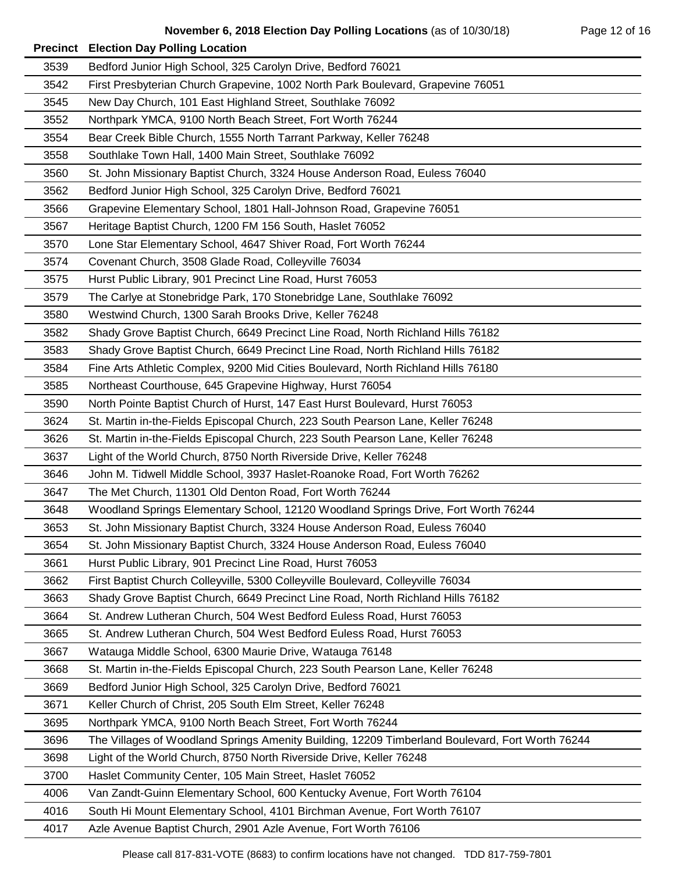## **November 6, 2018 Election Day Polling Locations** (as of 10/30/18) Page 12 of 16

|      | <b>Precinct Election Day Polling Location</b>                                                   |
|------|-------------------------------------------------------------------------------------------------|
| 3539 | Bedford Junior High School, 325 Carolyn Drive, Bedford 76021                                    |
| 3542 | First Presbyterian Church Grapevine, 1002 North Park Boulevard, Grapevine 76051                 |
| 3545 | New Day Church, 101 East Highland Street, Southlake 76092                                       |
| 3552 | Northpark YMCA, 9100 North Beach Street, Fort Worth 76244                                       |
| 3554 | Bear Creek Bible Church, 1555 North Tarrant Parkway, Keller 76248                               |
| 3558 | Southlake Town Hall, 1400 Main Street, Southlake 76092                                          |
| 3560 | St. John Missionary Baptist Church, 3324 House Anderson Road, Euless 76040                      |
| 3562 | Bedford Junior High School, 325 Carolyn Drive, Bedford 76021                                    |
| 3566 | Grapevine Elementary School, 1801 Hall-Johnson Road, Grapevine 76051                            |
| 3567 | Heritage Baptist Church, 1200 FM 156 South, Haslet 76052                                        |
| 3570 | Lone Star Elementary School, 4647 Shiver Road, Fort Worth 76244                                 |
| 3574 | Covenant Church, 3508 Glade Road, Colleyville 76034                                             |
| 3575 | Hurst Public Library, 901 Precinct Line Road, Hurst 76053                                       |
| 3579 | The Carlye at Stonebridge Park, 170 Stonebridge Lane, Southlake 76092                           |
| 3580 | Westwind Church, 1300 Sarah Brooks Drive, Keller 76248                                          |
| 3582 | Shady Grove Baptist Church, 6649 Precinct Line Road, North Richland Hills 76182                 |
| 3583 | Shady Grove Baptist Church, 6649 Precinct Line Road, North Richland Hills 76182                 |
| 3584 | Fine Arts Athletic Complex, 9200 Mid Cities Boulevard, North Richland Hills 76180               |
| 3585 | Northeast Courthouse, 645 Grapevine Highway, Hurst 76054                                        |
| 3590 | North Pointe Baptist Church of Hurst, 147 East Hurst Boulevard, Hurst 76053                     |
| 3624 | St. Martin in-the-Fields Episcopal Church, 223 South Pearson Lane, Keller 76248                 |
| 3626 | St. Martin in-the-Fields Episcopal Church, 223 South Pearson Lane, Keller 76248                 |
| 3637 | Light of the World Church, 8750 North Riverside Drive, Keller 76248                             |
| 3646 | John M. Tidwell Middle School, 3937 Haslet-Roanoke Road, Fort Worth 76262                       |
| 3647 | The Met Church, 11301 Old Denton Road, Fort Worth 76244                                         |
| 3648 | Woodland Springs Elementary School, 12120 Woodland Springs Drive, Fort Worth 76244              |
| 3653 | St. John Missionary Baptist Church, 3324 House Anderson Road, Euless 76040                      |
| 3654 | St. John Missionary Baptist Church, 3324 House Anderson Road, Euless 76040                      |
| 3661 | Hurst Public Library, 901 Precinct Line Road, Hurst 76053                                       |
| 3662 | First Baptist Church Colleyville, 5300 Colleyville Boulevard, Colleyville 76034                 |
| 3663 | Shady Grove Baptist Church, 6649 Precinct Line Road, North Richland Hills 76182                 |
| 3664 | St. Andrew Lutheran Church, 504 West Bedford Euless Road, Hurst 76053                           |
| 3665 | St. Andrew Lutheran Church, 504 West Bedford Euless Road, Hurst 76053                           |
| 3667 | Watauga Middle School, 6300 Maurie Drive, Watauga 76148                                         |
| 3668 | St. Martin in-the-Fields Episcopal Church, 223 South Pearson Lane, Keller 76248                 |
| 3669 | Bedford Junior High School, 325 Carolyn Drive, Bedford 76021                                    |
| 3671 | Keller Church of Christ, 205 South Elm Street, Keller 76248                                     |
| 3695 | Northpark YMCA, 9100 North Beach Street, Fort Worth 76244                                       |
| 3696 | The Villages of Woodland Springs Amenity Building, 12209 Timberland Boulevard, Fort Worth 76244 |
| 3698 | Light of the World Church, 8750 North Riverside Drive, Keller 76248                             |
| 3700 | Haslet Community Center, 105 Main Street, Haslet 76052                                          |
| 4006 | Van Zandt-Guinn Elementary School, 600 Kentucky Avenue, Fort Worth 76104                        |
| 4016 | South Hi Mount Elementary School, 4101 Birchman Avenue, Fort Worth 76107                        |
| 4017 | Azle Avenue Baptist Church, 2901 Azle Avenue, Fort Worth 76106                                  |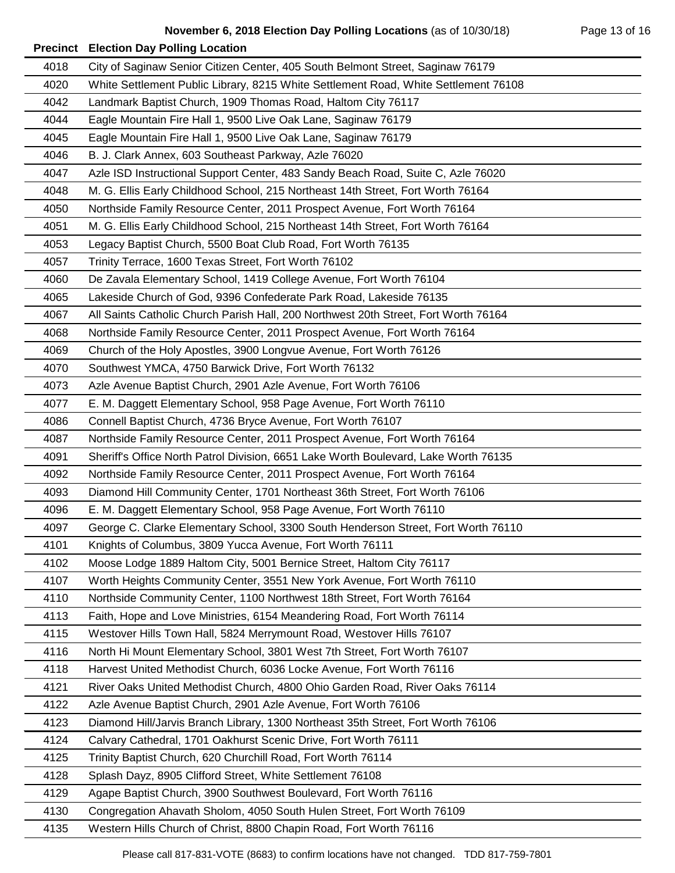## **November 6, 2018 Election Day Polling Locations** (as of 10/30/18) Page 13 of 16

|      | <b>Precinct Election Day Polling Location</b>                                       |
|------|-------------------------------------------------------------------------------------|
| 4018 | City of Saginaw Senior Citizen Center, 405 South Belmont Street, Saginaw 76179      |
| 4020 | White Settlement Public Library, 8215 White Settlement Road, White Settlement 76108 |
| 4042 | Landmark Baptist Church, 1909 Thomas Road, Haltom City 76117                        |
| 4044 | Eagle Mountain Fire Hall 1, 9500 Live Oak Lane, Saginaw 76179                       |
| 4045 | Eagle Mountain Fire Hall 1, 9500 Live Oak Lane, Saginaw 76179                       |
| 4046 | B. J. Clark Annex, 603 Southeast Parkway, Azle 76020                                |
| 4047 | Azle ISD Instructional Support Center, 483 Sandy Beach Road, Suite C, Azle 76020    |
| 4048 | M. G. Ellis Early Childhood School, 215 Northeast 14th Street, Fort Worth 76164     |
| 4050 | Northside Family Resource Center, 2011 Prospect Avenue, Fort Worth 76164            |
| 4051 | M. G. Ellis Early Childhood School, 215 Northeast 14th Street, Fort Worth 76164     |
| 4053 | Legacy Baptist Church, 5500 Boat Club Road, Fort Worth 76135                        |
| 4057 | Trinity Terrace, 1600 Texas Street, Fort Worth 76102                                |
| 4060 | De Zavala Elementary School, 1419 College Avenue, Fort Worth 76104                  |
| 4065 | Lakeside Church of God, 9396 Confederate Park Road, Lakeside 76135                  |
| 4067 | All Saints Catholic Church Parish Hall, 200 Northwest 20th Street, Fort Worth 76164 |
| 4068 | Northside Family Resource Center, 2011 Prospect Avenue, Fort Worth 76164            |
| 4069 | Church of the Holy Apostles, 3900 Longvue Avenue, Fort Worth 76126                  |
| 4070 | Southwest YMCA, 4750 Barwick Drive, Fort Worth 76132                                |
| 4073 | Azle Avenue Baptist Church, 2901 Azle Avenue, Fort Worth 76106                      |
| 4077 | E. M. Daggett Elementary School, 958 Page Avenue, Fort Worth 76110                  |
| 4086 | Connell Baptist Church, 4736 Bryce Avenue, Fort Worth 76107                         |
| 4087 | Northside Family Resource Center, 2011 Prospect Avenue, Fort Worth 76164            |
| 4091 | Sheriff's Office North Patrol Division, 6651 Lake Worth Boulevard, Lake Worth 76135 |
| 4092 | Northside Family Resource Center, 2011 Prospect Avenue, Fort Worth 76164            |
| 4093 | Diamond Hill Community Center, 1701 Northeast 36th Street, Fort Worth 76106         |
| 4096 | E. M. Daggett Elementary School, 958 Page Avenue, Fort Worth 76110                  |
| 4097 | George C. Clarke Elementary School, 3300 South Henderson Street, Fort Worth 76110   |
| 4101 | Knights of Columbus, 3809 Yucca Avenue, Fort Worth 76111                            |
| 4102 | Moose Lodge 1889 Haltom City, 5001 Bernice Street, Haltom City 76117                |
| 4107 | Worth Heights Community Center, 3551 New York Avenue, Fort Worth 76110              |
| 4110 | Northside Community Center, 1100 Northwest 18th Street, Fort Worth 76164            |
| 4113 | Faith, Hope and Love Ministries, 6154 Meandering Road, Fort Worth 76114             |
| 4115 | Westover Hills Town Hall, 5824 Merrymount Road, Westover Hills 76107                |
| 4116 | North Hi Mount Elementary School, 3801 West 7th Street, Fort Worth 76107            |
| 4118 | Harvest United Methodist Church, 6036 Locke Avenue, Fort Worth 76116                |
| 4121 | River Oaks United Methodist Church, 4800 Ohio Garden Road, River Oaks 76114         |
| 4122 | Azle Avenue Baptist Church, 2901 Azle Avenue, Fort Worth 76106                      |
| 4123 | Diamond Hill/Jarvis Branch Library, 1300 Northeast 35th Street, Fort Worth 76106    |
| 4124 | Calvary Cathedral, 1701 Oakhurst Scenic Drive, Fort Worth 76111                     |
| 4125 | Trinity Baptist Church, 620 Churchill Road, Fort Worth 76114                        |
| 4128 | Splash Dayz, 8905 Clifford Street, White Settlement 76108                           |
| 4129 | Agape Baptist Church, 3900 Southwest Boulevard, Fort Worth 76116                    |
| 4130 | Congregation Ahavath Sholom, 4050 South Hulen Street, Fort Worth 76109              |
| 4135 | Western Hills Church of Christ, 8800 Chapin Road, Fort Worth 76116                  |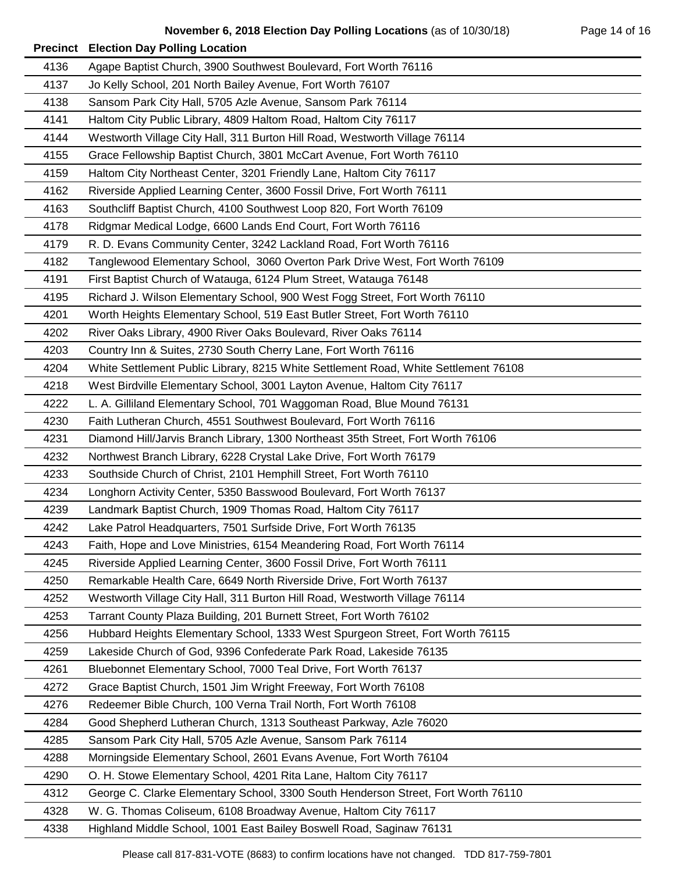|      | <b>Precinct Election Day Polling Location</b>                                       |
|------|-------------------------------------------------------------------------------------|
| 4136 | Agape Baptist Church, 3900 Southwest Boulevard, Fort Worth 76116                    |
| 4137 | Jo Kelly School, 201 North Bailey Avenue, Fort Worth 76107                          |
| 4138 | Sansom Park City Hall, 5705 Azle Avenue, Sansom Park 76114                          |
| 4141 | Haltom City Public Library, 4809 Haltom Road, Haltom City 76117                     |
| 4144 | Westworth Village City Hall, 311 Burton Hill Road, Westworth Village 76114          |
| 4155 | Grace Fellowship Baptist Church, 3801 McCart Avenue, Fort Worth 76110               |
| 4159 | Haltom City Northeast Center, 3201 Friendly Lane, Haltom City 76117                 |
| 4162 | Riverside Applied Learning Center, 3600 Fossil Drive, Fort Worth 76111              |
| 4163 | Southcliff Baptist Church, 4100 Southwest Loop 820, Fort Worth 76109                |
| 4178 | Ridgmar Medical Lodge, 6600 Lands End Court, Fort Worth 76116                       |
| 4179 | R. D. Evans Community Center, 3242 Lackland Road, Fort Worth 76116                  |
| 4182 | Tanglewood Elementary School, 3060 Overton Park Drive West, Fort Worth 76109        |
| 4191 | First Baptist Church of Watauga, 6124 Plum Street, Watauga 76148                    |
| 4195 | Richard J. Wilson Elementary School, 900 West Fogg Street, Fort Worth 76110         |
| 4201 | Worth Heights Elementary School, 519 East Butler Street, Fort Worth 76110           |
| 4202 | River Oaks Library, 4900 River Oaks Boulevard, River Oaks 76114                     |
| 4203 | Country Inn & Suites, 2730 South Cherry Lane, Fort Worth 76116                      |
| 4204 | White Settlement Public Library, 8215 White Settlement Road, White Settlement 76108 |
| 4218 | West Birdville Elementary School, 3001 Layton Avenue, Haltom City 76117             |
| 4222 | L. A. Gilliland Elementary School, 701 Waggoman Road, Blue Mound 76131              |
| 4230 | Faith Lutheran Church, 4551 Southwest Boulevard, Fort Worth 76116                   |
| 4231 | Diamond Hill/Jarvis Branch Library, 1300 Northeast 35th Street, Fort Worth 76106    |
| 4232 | Northwest Branch Library, 6228 Crystal Lake Drive, Fort Worth 76179                 |
| 4233 | Southside Church of Christ, 2101 Hemphill Street, Fort Worth 76110                  |
| 4234 | Longhorn Activity Center, 5350 Basswood Boulevard, Fort Worth 76137                 |
| 4239 | Landmark Baptist Church, 1909 Thomas Road, Haltom City 76117                        |
| 4242 | Lake Patrol Headquarters, 7501 Surfside Drive, Fort Worth 76135                     |
| 4243 | Faith, Hope and Love Ministries, 6154 Meandering Road, Fort Worth 76114             |
| 4245 | Riverside Applied Learning Center, 3600 Fossil Drive, Fort Worth 76111              |
| 4250 | Remarkable Health Care, 6649 North Riverside Drive, Fort Worth 76137                |
| 4252 | Westworth Village City Hall, 311 Burton Hill Road, Westworth Village 76114          |
| 4253 | Tarrant County Plaza Building, 201 Burnett Street, Fort Worth 76102                 |
| 4256 | Hubbard Heights Elementary School, 1333 West Spurgeon Street, Fort Worth 76115      |
| 4259 | Lakeside Church of God, 9396 Confederate Park Road, Lakeside 76135                  |
| 4261 | Bluebonnet Elementary School, 7000 Teal Drive, Fort Worth 76137                     |
| 4272 | Grace Baptist Church, 1501 Jim Wright Freeway, Fort Worth 76108                     |
| 4276 | Redeemer Bible Church, 100 Verna Trail North, Fort Worth 76108                      |
| 4284 | Good Shepherd Lutheran Church, 1313 Southeast Parkway, Azle 76020                   |
| 4285 | Sansom Park City Hall, 5705 Azle Avenue, Sansom Park 76114                          |
| 4288 | Morningside Elementary School, 2601 Evans Avenue, Fort Worth 76104                  |
| 4290 | O. H. Stowe Elementary School, 4201 Rita Lane, Haltom City 76117                    |
| 4312 | George C. Clarke Elementary School, 3300 South Henderson Street, Fort Worth 76110   |
| 4328 | W. G. Thomas Coliseum, 6108 Broadway Avenue, Haltom City 76117                      |
| 4338 | Highland Middle School, 1001 East Bailey Boswell Road, Saginaw 76131                |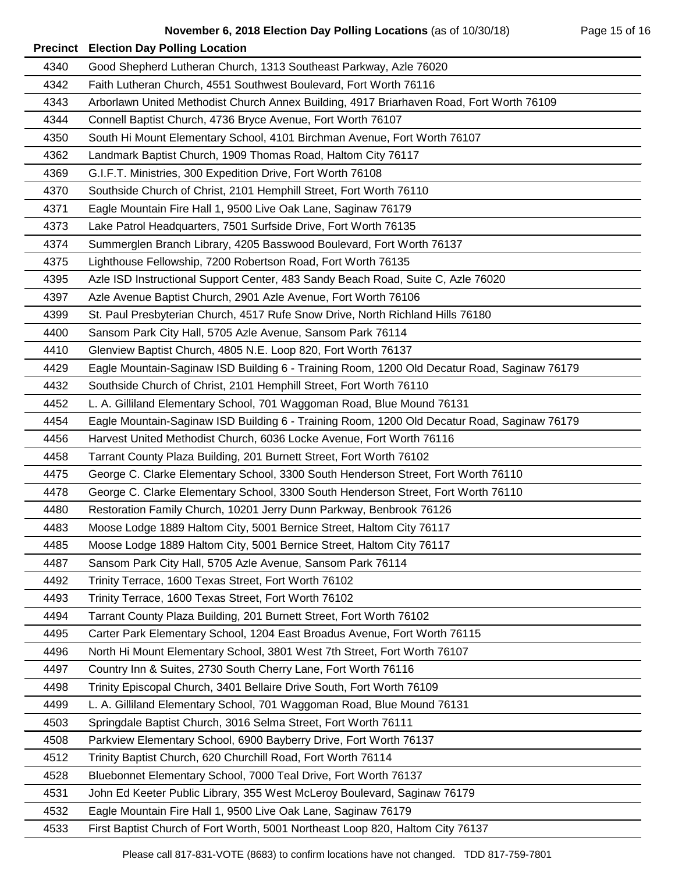| 4340 | Good Shepherd Lutheran Church, 1313 Southeast Parkway, Azle 76020                           |
|------|---------------------------------------------------------------------------------------------|
| 4342 | Faith Lutheran Church, 4551 Southwest Boulevard, Fort Worth 76116                           |
| 4343 | Arborlawn United Methodist Church Annex Building, 4917 Briarhaven Road, Fort Worth 76109    |
| 4344 | Connell Baptist Church, 4736 Bryce Avenue, Fort Worth 76107                                 |
| 4350 | South Hi Mount Elementary School, 4101 Birchman Avenue, Fort Worth 76107                    |
| 4362 | Landmark Baptist Church, 1909 Thomas Road, Haltom City 76117                                |
| 4369 | G.I.F.T. Ministries, 300 Expedition Drive, Fort Worth 76108                                 |
| 4370 | Southside Church of Christ, 2101 Hemphill Street, Fort Worth 76110                          |
| 4371 | Eagle Mountain Fire Hall 1, 9500 Live Oak Lane, Saginaw 76179                               |
| 4373 | Lake Patrol Headquarters, 7501 Surfside Drive, Fort Worth 76135                             |
| 4374 | Summerglen Branch Library, 4205 Basswood Boulevard, Fort Worth 76137                        |
| 4375 | Lighthouse Fellowship, 7200 Robertson Road, Fort Worth 76135                                |
| 4395 | Azle ISD Instructional Support Center, 483 Sandy Beach Road, Suite C, Azle 76020            |
| 4397 | Azle Avenue Baptist Church, 2901 Azle Avenue, Fort Worth 76106                              |
| 4399 | St. Paul Presbyterian Church, 4517 Rufe Snow Drive, North Richland Hills 76180              |
| 4400 | Sansom Park City Hall, 5705 Azle Avenue, Sansom Park 76114                                  |
| 4410 | Glenview Baptist Church, 4805 N.E. Loop 820, Fort Worth 76137                               |
| 4429 | Eagle Mountain-Saginaw ISD Building 6 - Training Room, 1200 Old Decatur Road, Saginaw 76179 |
| 4432 | Southside Church of Christ, 2101 Hemphill Street, Fort Worth 76110                          |
| 4452 | L. A. Gilliland Elementary School, 701 Waggoman Road, Blue Mound 76131                      |
| 4454 | Eagle Mountain-Saginaw ISD Building 6 - Training Room, 1200 Old Decatur Road, Saginaw 76179 |
| 4456 | Harvest United Methodist Church, 6036 Locke Avenue, Fort Worth 76116                        |
| 4458 | Tarrant County Plaza Building, 201 Burnett Street, Fort Worth 76102                         |
| 4475 | George C. Clarke Elementary School, 3300 South Henderson Street, Fort Worth 76110           |
| 4478 | George C. Clarke Elementary School, 3300 South Henderson Street, Fort Worth 76110           |
| 4480 | Restoration Family Church, 10201 Jerry Dunn Parkway, Benbrook 76126                         |
| 4483 | Moose Lodge 1889 Haltom City, 5001 Bernice Street, Haltom City 76117                        |
| 4485 | Moose Lodge 1889 Haltom City, 5001 Bernice Street, Haltom City 76117                        |
| 4487 | Sansom Park City Hall, 5705 Azle Avenue, Sansom Park 76114                                  |
| 4492 | Trinity Terrace, 1600 Texas Street, Fort Worth 76102                                        |
| 4493 | Trinity Terrace, 1600 Texas Street, Fort Worth 76102                                        |
| 4494 | Tarrant County Plaza Building, 201 Burnett Street, Fort Worth 76102                         |
| 4495 | Carter Park Elementary School, 1204 East Broadus Avenue, Fort Worth 76115                   |
| 4496 | North Hi Mount Elementary School, 3801 West 7th Street, Fort Worth 76107                    |
| 4497 | Country Inn & Suites, 2730 South Cherry Lane, Fort Worth 76116                              |
| 4498 | Trinity Episcopal Church, 3401 Bellaire Drive South, Fort Worth 76109                       |
| 4499 | L. A. Gilliland Elementary School, 701 Waggoman Road, Blue Mound 76131                      |
| 4503 | Springdale Baptist Church, 3016 Selma Street, Fort Worth 76111                              |
| 4508 | Parkview Elementary School, 6900 Bayberry Drive, Fort Worth 76137                           |
| 4512 | Trinity Baptist Church, 620 Churchill Road, Fort Worth 76114                                |
| 4528 | Bluebonnet Elementary School, 7000 Teal Drive, Fort Worth 76137                             |
| 4531 | John Ed Keeter Public Library, 355 West McLeroy Boulevard, Saginaw 76179                    |
| 4532 | Eagle Mountain Fire Hall 1, 9500 Live Oak Lane, Saginaw 76179                               |
| 4533 | First Baptist Church of Fort Worth, 5001 Northeast Loop 820, Haltom City 76137              |